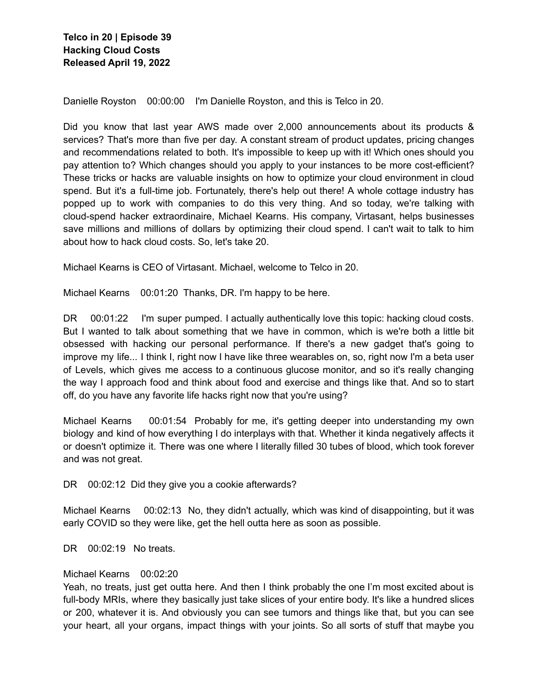Danielle Royston 00:00:00 I'm Danielle Royston, and this is Telco in 20.

Did you know that last year AWS made over 2,000 announcements about its products & services? That's more than five per day. A constant stream of product updates, pricing changes and recommendations related to both. It's impossible to keep up with it! Which ones should you pay attention to? Which changes should you apply to your instances to be more cost-efficient? These tricks or hacks are valuable insights on how to optimize your cloud environment in cloud spend. But it's a full-time job. Fortunately, there's help out there! A whole cottage industry has popped up to work with companies to do this very thing. And so today, we're talking with cloud-spend hacker extraordinaire, Michael Kearns. His company, Virtasant, helps businesses save millions and millions of dollars by optimizing their cloud spend. I can't wait to talk to him about how to hack cloud costs. So, let's take 20.

Michael Kearns is CEO of Virtasant. Michael, welcome to Telco in 20.

Michael Kearns 00:01:20 Thanks, DR. I'm happy to be here.

DR 00:01:22 I'm super pumped. I actually authentically love this topic: hacking cloud costs. But I wanted to talk about something that we have in common, which is we're both a little bit obsessed with hacking our personal performance. If there's a new gadget that's going to improve my life... I think I, right now I have like three wearables on, so, right now I'm a beta user of Levels, which gives me access to a continuous glucose monitor, and so it's really changing the way I approach food and think about food and exercise and things like that. And so to start off, do you have any favorite life hacks right now that you're using?

Michael Kearns 00:01:54 Probably for me, it's getting deeper into understanding my own biology and kind of how everything I do interplays with that. Whether it kinda negatively affects it or doesn't optimize it. There was one where I literally filled 30 tubes of blood, which took forever and was not great.

DR 00:02:12 Did they give you a cookie afterwards?

Michael Kearns 00:02:13 No, they didn't actually, which was kind of disappointing, but it was early COVID so they were like, get the hell outta here as soon as possible.

DR 00:02:19 No treats.

## Michael Kearns 00:02:20

Yeah, no treats, just get outta here. And then I think probably the one I'm most excited about is full-body MRIs, where they basically just take slices of your entire body. It's like a hundred slices or 200, whatever it is. And obviously you can see tumors and things like that, but you can see your heart, all your organs, impact things with your joints. So all sorts of stuff that maybe you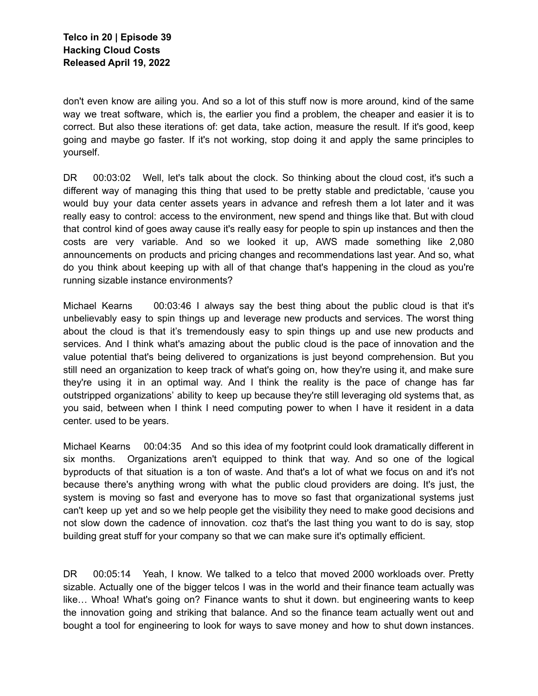don't even know are ailing you. And so a lot of this stuff now is more around, kind of the same way we treat software, which is, the earlier you find a problem, the cheaper and easier it is to correct. But also these iterations of: get data, take action, measure the result. If it's good, keep going and maybe go faster. If it's not working, stop doing it and apply the same principles to yourself.

DR 00:03:02 Well, let's talk about the clock. So thinking about the cloud cost, it's such a different way of managing this thing that used to be pretty stable and predictable, 'cause you would buy your data center assets years in advance and refresh them a lot later and it was really easy to control: access to the environment, new spend and things like that. But with cloud that control kind of goes away cause it's really easy for people to spin up instances and then the costs are very variable. And so we looked it up, AWS made something like 2,080 announcements on products and pricing changes and recommendations last year. And so, what do you think about keeping up with all of that change that's happening in the cloud as you're running sizable instance environments?

Michael Kearns 00:03:46 I always say the best thing about the public cloud is that it's unbelievably easy to spin things up and leverage new products and services. The worst thing about the cloud is that it's tremendously easy to spin things up and use new products and services. And I think what's amazing about the public cloud is the pace of innovation and the value potential that's being delivered to organizations is just beyond comprehension. But you still need an organization to keep track of what's going on, how they're using it, and make sure they're using it in an optimal way. And I think the reality is the pace of change has far outstripped organizations' ability to keep up because they're still leveraging old systems that, as you said, between when I think I need computing power to when I have it resident in a data center. used to be years.

Michael Kearns 00:04:35 And so this idea of my footprint could look dramatically different in six months. Organizations aren't equipped to think that way. And so one of the logical byproducts of that situation is a ton of waste. And that's a lot of what we focus on and it's not because there's anything wrong with what the public cloud providers are doing. It's just, the system is moving so fast and everyone has to move so fast that organizational systems just can't keep up yet and so we help people get the visibility they need to make good decisions and not slow down the cadence of innovation. coz that's the last thing you want to do is say, stop building great stuff for your company so that we can make sure it's optimally efficient.

DR 00:05:14 Yeah, I know. We talked to a telco that moved 2000 workloads over. Pretty sizable. Actually one of the bigger telcos I was in the world and their finance team actually was like… Whoa! What's going on? Finance wants to shut it down. but engineering wants to keep the innovation going and striking that balance. And so the finance team actually went out and bought a tool for engineering to look for ways to save money and how to shut down instances.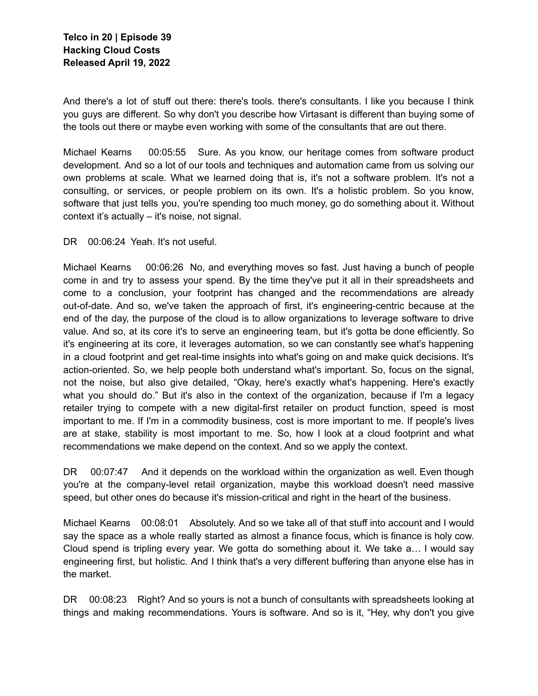And there's a lot of stuff out there: there's tools. there's consultants. I like you because I think you guys are different. So why don't you describe how Virtasant is different than buying some of the tools out there or maybe even working with some of the consultants that are out there.

Michael Kearns 00:05:55 Sure. As you know, our heritage comes from software product development. And so a lot of our tools and techniques and automation came from us solving our own problems at scale. What we learned doing that is, it's not a software problem. It's not a consulting, or services, or people problem on its own. It's a holistic problem. So you know, software that just tells you, you're spending too much money, go do something about it. Without context it's actually – it's noise, not signal.

DR 00:06:24 Yeah. It's not useful.

Michael Kearns 00:06:26 No, and everything moves so fast. Just having a bunch of people come in and try to assess your spend. By the time they've put it all in their spreadsheets and come to a conclusion, your footprint has changed and the recommendations are already out-of-date. And so, we've taken the approach of first, it's engineering-centric because at the end of the day, the purpose of the cloud is to allow organizations to leverage software to drive value. And so, at its core it's to serve an engineering team, but it's gotta be done efficiently. So it's engineering at its core, it leverages automation, so we can constantly see what's happening in a cloud footprint and get real-time insights into what's going on and make quick decisions. It's action-oriented. So, we help people both understand what's important. So, focus on the signal, not the noise, but also give detailed, "Okay, here's exactly what's happening. Here's exactly what you should do." But it's also in the context of the organization, because if I'm a legacy retailer trying to compete with a new digital-first retailer on product function, speed is most important to me. If I'm in a commodity business, cost is more important to me. If people's lives are at stake, stability is most important to me. So, how I look at a cloud footprint and what recommendations we make depend on the context. And so we apply the context.

DR 00:07:47 And it depends on the workload within the organization as well. Even though you're at the company-level retail organization, maybe this workload doesn't need massive speed, but other ones do because it's mission-critical and right in the heart of the business.

Michael Kearns 00:08:01 Absolutely. And so we take all of that stuff into account and I would say the space as a whole really started as almost a finance focus, which is finance is holy cow. Cloud spend is tripling every year. We gotta do something about it. We take a… I would say engineering first, but holistic. And I think that's a very different buffering than anyone else has in the market.

DR 00:08:23 Right? And so yours is not a bunch of consultants with spreadsheets looking at things and making recommendations. Yours is software. And so is it, "Hey, why don't you give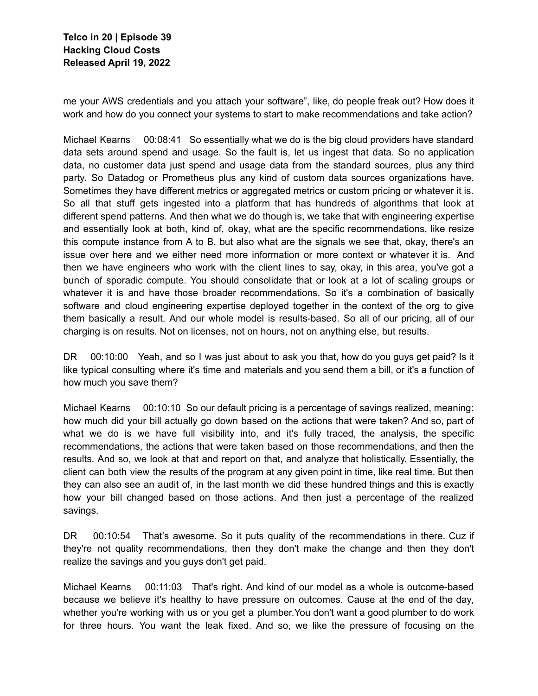me your AWS credentials and you attach your software", like, do people freak out? How does it work and how do you connect your systems to start to make recommendations and take action?

Michael Kearns 00:08:41 So essentially what we do is the big cloud providers have standard data sets around spend and usage. So the fault is, let us ingest that data. So no application data, no customer data just spend and usage data from the standard sources, plus any third party. So Datadog or Prometheus plus any kind of custom data sources organizations have. Sometimes they have different metrics or aggregated metrics or custom pricing or whatever it is. So all that stuff gets ingested into a platform that has hundreds of algorithms that look at different spend patterns. And then what we do though is, we take that with engineering expertise and essentially look at both, kind of, okay, what are the specific recommendations, like resize this compute instance from A to B, but also what are the signals we see that, okay, there's an issue over here and we either need more information or more context or whatever it is. And then we have engineers who work with the client lines to say, okay, in this area, you've got a bunch of sporadic compute. You should consolidate that or look at a lot of scaling groups or whatever it is and have those broader recommendations. So it's a combination of basically software and cloud engineering expertise deployed together in the context of the org to give them basically a result. And our whole model is results-based. So all of our pricing, all of our charging is on results. Not on licenses, not on hours, not on anything else, but results.

DR 00:10:00 Yeah, and so I was just about to ask you that, how do you guys get paid? Is it like typical consulting where it's time and materials and you send them a bill, or it's a function of how much you save them?

Michael Kearns 00:10:10 So our default pricing is a percentage of savings realized, meaning: how much did your bill actually go down based on the actions that were taken? And so, part of what we do is we have full visibility into, and it's fully traced, the analysis, the specific recommendations, the actions that were taken based on those recommendations, and then the results. And so, we look at that and report on that, and analyze that holistically. Essentially, the client can both view the results of the program at any given point in time, like real time. But then they can also see an audit of, in the last month we did these hundred things and this is exactly how your bill changed based on those actions. And then just a percentage of the realized savings.

DR 00:10:54 That's awesome. So it puts quality of the recommendations in there. Cuz if they're not quality recommendations, then they don't make the change and then they don't realize the savings and you guys don't get paid.

Michael Kearns 00:11:03 That's right. And kind of our model as a whole is outcome-based because we believe it's healthy to have pressure on outcomes. Cause at the end of the day, whether you're working with us or you get a plumber.You don't want a good plumber to do work for three hours. You want the leak fixed. And so, we like the pressure of focusing on the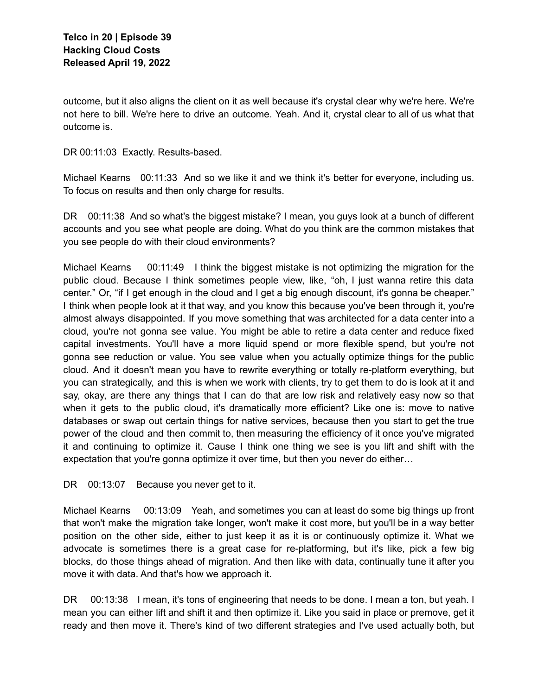outcome, but it also aligns the client on it as well because it's crystal clear why we're here. We're not here to bill. We're here to drive an outcome. Yeah. And it, crystal clear to all of us what that outcome is.

DR 00:11:03 Exactly. Results-based.

Michael Kearns 00:11:33 And so we like it and we think it's better for everyone, including us. To focus on results and then only charge for results.

DR 00:11:38 And so what's the biggest mistake? I mean, you guys look at a bunch of different accounts and you see what people are doing. What do you think are the common mistakes that you see people do with their cloud environments?

Michael Kearns 00:11:49 I think the biggest mistake is not optimizing the migration for the public cloud. Because I think sometimes people view, like, "oh, I just wanna retire this data center." Or, "if I get enough in the cloud and I get a big enough discount, it's gonna be cheaper." I think when people look at it that way, and you know this because you've been through it, you're almost always disappointed. If you move something that was architected for a data center into a cloud, you're not gonna see value. You might be able to retire a data center and reduce fixed capital investments. You'll have a more liquid spend or more flexible spend, but you're not gonna see reduction or value. You see value when you actually optimize things for the public cloud. And it doesn't mean you have to rewrite everything or totally re-platform everything, but you can strategically, and this is when we work with clients, try to get them to do is look at it and say, okay, are there any things that I can do that are low risk and relatively easy now so that when it gets to the public cloud, it's dramatically more efficient? Like one is: move to native databases or swap out certain things for native services, because then you start to get the true power of the cloud and then commit to, then measuring the efficiency of it once you've migrated it and continuing to optimize it. Cause I think one thing we see is you lift and shift with the expectation that you're gonna optimize it over time, but then you never do either…

DR 00:13:07 Because you never get to it.

Michael Kearns 00:13:09 Yeah, and sometimes you can at least do some big things up front that won't make the migration take longer, won't make it cost more, but you'll be in a way better position on the other side, either to just keep it as it is or continuously optimize it. What we advocate is sometimes there is a great case for re-platforming, but it's like, pick a few big blocks, do those things ahead of migration. And then like with data, continually tune it after you move it with data. And that's how we approach it.

DR 00:13:38 I mean, it's tons of engineering that needs to be done. I mean a ton, but yeah. I mean you can either lift and shift it and then optimize it. Like you said in place or premove, get it ready and then move it. There's kind of two different strategies and I've used actually both, but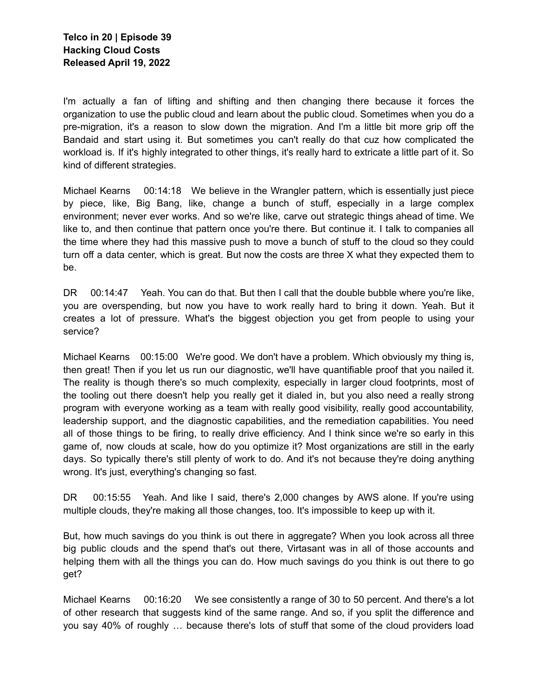I'm actually a fan of lifting and shifting and then changing there because it forces the organization to use the public cloud and learn about the public cloud. Sometimes when you do a pre-migration, it's a reason to slow down the migration. And I'm a little bit more grip off the Bandaid and start using it. But sometimes you can't really do that cuz how complicated the workload is. If it's highly integrated to other things, it's really hard to extricate a little part of it. So kind of different strategies.

Michael Kearns 00:14:18 We believe in the Wrangler pattern, which is essentially just piece by piece, like, Big Bang, like, change a bunch of stuff, especially in a large complex environment; never ever works. And so we're like, carve out strategic things ahead of time. We like to, and then continue that pattern once you're there. But continue it. I talk to companies all the time where they had this massive push to move a bunch of stuff to the cloud so they could turn off a data center, which is great. But now the costs are three X what they expected them to be.

DR 00:14:47 Yeah. You can do that. But then I call that the double bubble where you're like, you are overspending, but now you have to work really hard to bring it down. Yeah. But it creates a lot of pressure. What's the biggest objection you get from people to using your service?

Michael Kearns 00:15:00 We're good. We don't have a problem. Which obviously my thing is, then great! Then if you let us run our diagnostic, we'll have quantifiable proof that you nailed it. The reality is though there's so much complexity, especially in larger cloud footprints, most of the tooling out there doesn't help you really get it dialed in, but you also need a really strong program with everyone working as a team with really good visibility, really good accountability, leadership support, and the diagnostic capabilities, and the remediation capabilities. You need all of those things to be firing, to really drive efficiency. And I think since we're so early in this game of, now clouds at scale, how do you optimize it? Most organizations are still in the early days. So typically there's still plenty of work to do. And it's not because they're doing anything wrong. It's just, everything's changing so fast.

DR 00:15:55 Yeah. And like I said, there's 2,000 changes by AWS alone. If you're using multiple clouds, they're making all those changes, too. It's impossible to keep up with it.

But, how much savings do you think is out there in aggregate? When you look across all three big public clouds and the spend that's out there, Virtasant was in all of those accounts and helping them with all the things you can do. How much savings do you think is out there to go get?

Michael Kearns 00:16:20 We see consistently a range of 30 to 50 percent. And there's a lot of other research that suggests kind of the same range. And so, if you split the difference and you say 40% of roughly … because there's lots of stuff that some of the cloud providers load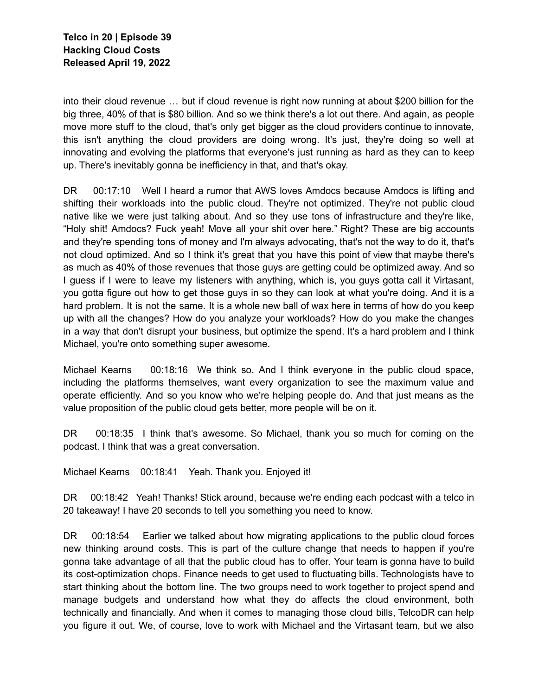into their cloud revenue … but if cloud revenue is right now running at about \$200 billion for the big three, 40% of that is \$80 billion. And so we think there's a lot out there. And again, as people move more stuff to the cloud, that's only get bigger as the cloud providers continue to innovate, this isn't anything the cloud providers are doing wrong. It's just, they're doing so well at innovating and evolving the platforms that everyone's just running as hard as they can to keep up. There's inevitably gonna be inefficiency in that, and that's okay.

DR 00:17:10 Well I heard a rumor that AWS loves Amdocs because Amdocs is lifting and shifting their workloads into the public cloud. They're not optimized. They're not public cloud native like we were just talking about. And so they use tons of infrastructure and they're like, "Holy shit! Amdocs? Fuck yeah! Move all your shit over here." Right? These are big accounts and they're spending tons of money and I'm always advocating, that's not the way to do it, that's not cloud optimized. And so I think it's great that you have this point of view that maybe there's as much as 40% of those revenues that those guys are getting could be optimized away. And so I guess if I were to leave my listeners with anything, which is, you guys gotta call it Virtasant, you gotta figure out how to get those guys in so they can look at what you're doing. And it is a hard problem. It is not the same. It is a whole new ball of wax here in terms of how do you keep up with all the changes? How do you analyze your workloads? How do you make the changes in a way that don't disrupt your business, but optimize the spend. It's a hard problem and I think Michael, you're onto something super awesome.

Michael Kearns 00:18:16 We think so. And I think everyone in the public cloud space, including the platforms themselves, want every organization to see the maximum value and operate efficiently. And so you know who we're helping people do. And that just means as the value proposition of the public cloud gets better, more people will be on it.

DR 00:18:35 I think that's awesome. So Michael, thank you so much for coming on the podcast. I think that was a great conversation.

Michael Kearns 00:18:41 Yeah. Thank you. Enjoyed it!

DR 00:18:42 Yeah! Thanks! Stick around, because we're ending each podcast with a telco in 20 takeaway! I have 20 seconds to tell you something you need to know.

DR 00:18:54 Earlier we talked about how migrating applications to the public cloud forces new thinking around costs. This is part of the culture change that needs to happen if you're gonna take advantage of all that the public cloud has to offer. Your team is gonna have to build its cost-optimization chops. Finance needs to get used to fluctuating bills. Technologists have to start thinking about the bottom line. The two groups need to work together to project spend and manage budgets and understand how what they do affects the cloud environment, both technically and financially. And when it comes to managing those cloud bills, TelcoDR can help you figure it out. We, of course, love to work with Michael and the Virtasant team, but we also